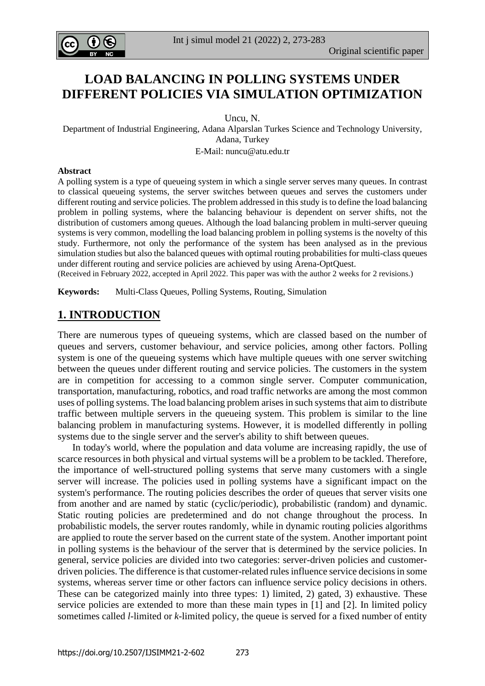

## **LOAD BALANCING IN POLLING SYSTEMS UNDER DIFFERENT POLICIES VIA SIMULATION OPTIMIZATION**

Uncu, N.

Department of Industrial Engineering, Adana Alparslan Turkes Science and Technology University, Adana, Turkey E-Mail: [nuncu@atu.edu.tr](mailto:nuncu@atu.edu.tr)

#### **Abstract**

A polling system is a type of queueing system in which a single server serves many queues. In contrast to classical queueing systems, the server switches between queues and serves the customers under different routing and service policies. The problem addressed in this study is to define the load balancing problem in polling systems, where the balancing behaviour is dependent on server shifts, not the distribution of customers among queues. Although the load balancing problem in multi-server queuing systems is very common, modelling the load balancing problem in polling systems is the novelty of this study. Furthermore, not only the performance of the system has been analysed as in the previous simulation studies but also the balanced queues with optimal routing probabilities for multi-class queues under different routing and service policies are achieved by using Arena-OptQuest.

(Received in February 2022, accepted in April 2022. This paper was with the author 2 weeks for 2 revisions.)

**Keywords:** Multi-Class Queues, Polling Systems, Routing, Simulation

### **1. INTRODUCTION**

There are numerous types of queueing systems, which are classed based on the number of queues and servers, customer behaviour, and service policies, among other factors. Polling system is one of the queueing systems which have multiple queues with one server switching between the queues under different routing and service policies. The customers in the system are in competition for accessing to a common single server. Computer communication, transportation, manufacturing, robotics, and road traffic networks are among the most common uses of polling systems. The load balancing problem arises in such systems that aim to distribute traffic between multiple servers in the queueing system. This problem is similar to the line balancing problem in manufacturing systems. However, it is modelled differently in polling systems due to the single server and the server's ability to shift between queues.

 In today's world, where the population and data volume are increasing rapidly, the use of scarce resources in both physical and virtual systems will be a problem to be tackled. Therefore, the importance of well-structured polling systems that serve many customers with a single server will increase. The policies used in polling systems have a significant impact on the system's performance. The routing policies describes the order of queues that server visits one from another and are named by static (cyclic/periodic), probabilistic (random) and dynamic. Static routing policies are predetermined and do not change throughout the process. In probabilistic models, the server routes randomly, while in dynamic routing policies algorithms are applied to route the server based on the current state of the system. Another important point in polling systems is the behaviour of the server that is determined by the service policies. In general, service policies are divided into two categories: server-driven policies and customerdriven policies. The difference is that customer-related rules influence service decisions in some systems, whereas server time or other factors can influence service policy decisions in others. These can be categorized mainly into three types: 1) limited, 2) gated, 3) exhaustive. These service policies are extended to more than these main types in [1] and [2]. In limited policy sometimes called *l*-limited or *k-*limited policy, the queue is served for a fixed number of entity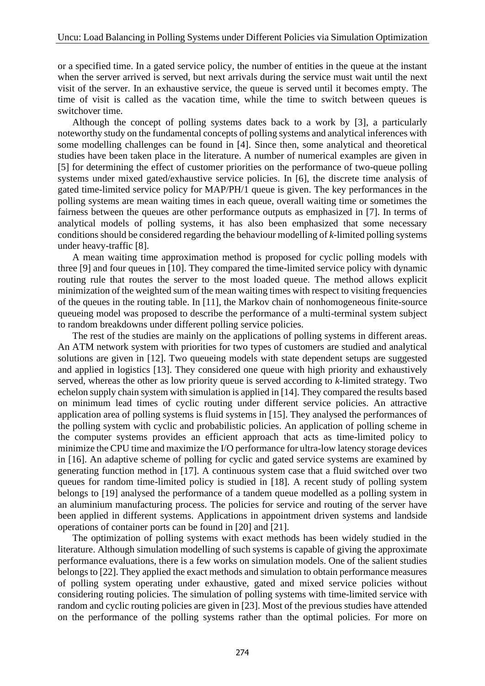or a specified time. In a gated service policy, the number of entities in the queue at the instant when the server arrived is served, but next arrivals during the service must wait until the next visit of the server. In an exhaustive service, the queue is served until it becomes empty. The time of visit is called as the vacation time, while the time to switch between queues is switchover time.

 Although the concept of polling systems dates back to a work by [3], a particularly noteworthy study on the fundamental concepts of polling systems and analytical inferences with some modelling challenges can be found in [4]. Since then, some analytical and theoretical studies have been taken place in the literature. A number of numerical examples are given in [5] for determining the effect of customer priorities on the performance of two-queue polling systems under mixed gated/exhaustive service policies. In [6], the discrete time analysis of gated time-limited service policy for MAP/PH/1 queue is given. The key performances in the polling systems are mean waiting times in each queue, overall waiting time or sometimes the fairness between the queues are other performance outputs as emphasized in [7]. In terms of analytical models of polling systems, it has also been emphasized that some necessary conditions should be considered regarding the behaviour modelling of *k*-limited polling systems under heavy-traffic [8].

 A mean waiting time approximation method is proposed for cyclic polling models with three [9] and four queues in [10]. They compared the time-limited service policy with dynamic routing rule that routes the server to the most loaded queue. The method allows explicit minimization of the weighted sum of the mean waiting times with respect to visiting frequencies of the queues in the routing table. In [11], the Markov chain of nonhomogeneous finite-source queueing model was proposed to describe the performance of a multi-terminal system subject to random breakdowns under different polling service policies.

 The rest of the studies are mainly on the applications of polling systems in different areas. An ATM network system with priorities for two types of customers are studied and analytical solutions are given in [12]. Two queueing models with state dependent setups are suggested and applied in logistics [13]. They considered one queue with high priority and exhaustively served, whereas the other as low priority queue is served according to *k*-limited strategy. Two echelon supply chain system with simulation is applied in [14]. They compared the results based on minimum lead times of cyclic routing under different service policies. An attractive application area of polling systems is fluid systems in [15]. They analysed the performances of the polling system with cyclic and probabilistic policies. An application of polling scheme in the computer systems provides an efficient approach that acts as time-limited policy to minimize the CPU time and maximize the I/O performance for ultra-low latency storage devices in [16]. An adaptive scheme of polling for cyclic and gated service systems are examined by generating function method in [17]. A continuous system case that a fluid switched over two queues for random time-limited policy is studied in [18]. A recent study of polling system belongs to [19] analysed the performance of a tandem queue modelled as a polling system in an aluminium manufacturing process. The policies for service and routing of the server have been applied in different systems. Applications in appointment driven systems and landside operations of container ports can be found in [20] and [21].

 The optimization of polling systems with exact methods has been widely studied in the literature. Although simulation modelling of such systems is capable of giving the approximate performance evaluations, there is a few works on simulation models. One of the salient studies belongs to [22]. They applied the exact methods and simulation to obtain performance measures of polling system operating under exhaustive, gated and mixed service policies without considering routing policies. The simulation of polling systems with time-limited service with random and cyclic routing policies are given in [23]. Most of the previous studies have attended on the performance of the polling systems rather than the optimal policies. For more on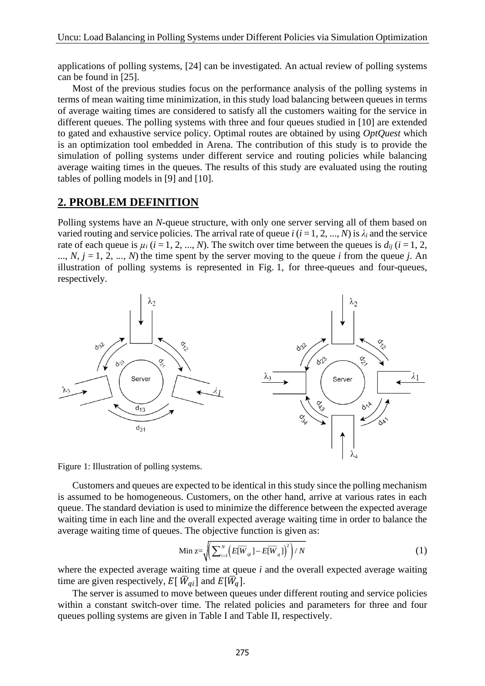applications of polling systems, [24] can be investigated. An actual review of polling systems can be found in [25].

 Most of the previous studies focus on the performance analysis of the polling systems in terms of mean waiting time minimization, in this study load balancing between queues in terms of average waiting times are considered to satisfy all the customers waiting for the service in different queues. The polling systems with three and four queues studied in [10] are extended to gated and exhaustive service policy. Optimal routes are obtained by using *OptQuest* which is an optimization tool embedded in Arena. The contribution of this study is to provide the simulation of polling systems under different service and routing policies while balancing average waiting times in the queues. The results of this study are evaluated using the routing tables of polling models in [9] and [10].

### **2. PROBLEM DEFINITION**

Polling systems have an *N*-queue structure, with only one server serving all of them based on varied routing and service policies. The arrival rate of queue  $i$  ( $i = 1, 2, ..., N$ ) is  $\lambda_i$  and the service rate of each queue is  $\mu_i$  ( $i = 1, 2, ..., N$ ). The switch over time between the queues is  $d_{ii}$  ( $i = 1, 2, ...$ )  $\ldots$ , *N*, *j* = 1, 2, ..., *N*) the time spent by the server moving to the queue *i* from the queue *j*. An illustration of polling systems is represented in Fig. 1, for three-queues and four-queues, respectively.





 Customers and queues are expected to be identical in this study since the polling mechanism is assumed to be homogeneous. Customers, on the other hand, arrive at various rates in each queue. The standard deviation is used to minimize the difference between the expected average waiting time in each line and the overall expected average waiting time in order to balance the average waiting time of queues. The objective function is given as:

$$
\text{Min } z = \sqrt{\left(\sum_{i=1}^{N} \left(E[\overline{W}_{qi}] - E[\overline{W}_{q}]\right)^{2}\right) / N}
$$
\n<sup>(1)</sup>

where the expected average waiting time at queue *i* and the overall expected average waiting time are given respectively,  $E[\overline{W}_{ai}]$  and  $E[\overline{W}_{a}]$ .

 The server is assumed to move between queues under different routing and service policies within a constant switch-over time. The related policies and parameters for three and four queues polling systems are given in Table I and Table II, respectively.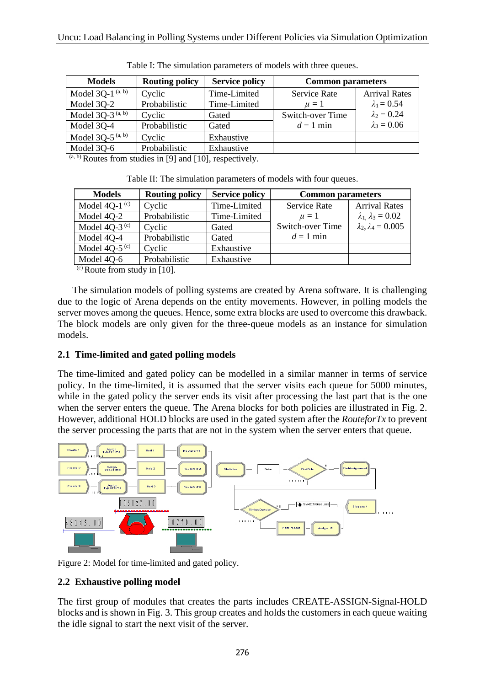| <b>Models</b>                  | <b>Routing policy</b> | <b>Service policy</b> | <b>Common parameters</b> |                      |
|--------------------------------|-----------------------|-----------------------|--------------------------|----------------------|
| Model $3Q-1$ <sup>(a, b)</sup> | Cyclic                | Time-Limited          | <b>Service Rate</b>      | <b>Arrival Rates</b> |
| Model 3Q-2                     | Probabilistic         | Time-Limited          | $\mu = 1$                | $\lambda_1 = 0.54$   |
| Model $3Q-3^{(a, b)}$          | Cyclic                | Gated                 | <b>Switch-over Time</b>  | $\lambda_2 = 0.24$   |
| Model 3Q-4                     | Probabilistic         | Gated                 | $d=1$ min                | $\lambda_3 = 0.06$   |
| Model $3Q-5^{(a, b)}$          | Cyclic                | Exhaustive            |                          |                      |
| Model 30-6                     | Probabilistic         | Exhaustive            |                          |                      |

Table I: The simulation parameters of models with three queues.

 $(a, b)$  Routes from studies in [9] and [10], respectively.

| Table II: The simulation parameters of models with four queues. |  |  |
|-----------------------------------------------------------------|--|--|
|                                                                 |  |  |

| <b>Models</b>        | <b>Routing policy</b> | <b>Service policy</b> | <b>Common parameters</b> |                                |
|----------------------|-----------------------|-----------------------|--------------------------|--------------------------------|
| Model 4Q-1 $\degree$ | Cyclic                | Time-Limited          | <b>Service Rate</b>      | <b>Arrival Rates</b>           |
| Model 4Q-2           | Probabilistic         | Time-Limited          | $\mu = 1$                | $\lambda_1, \lambda_3 = 0.02$  |
| Model 4Q-3 $\degree$ | Cyclic                | Gated                 | Switch-over Time         | $\lambda_2, \lambda_4 = 0.005$ |
| Model 4Q-4           | Probabilistic         | Gated                 | $d=1$ min                |                                |
| Model 4Q-5 $\degree$ | Cyclic                | Exhaustive            |                          |                                |
| Model 4Q-6           | Probabilistic         | Exhaustive            |                          |                                |

 $(c)$  Route from study in [10].

 The simulation models of polling systems are created by Arena software. It is challenging due to the logic of Arena depends on the entity movements. However, in polling models the server moves among the queues. Hence, some extra blocks are used to overcome this drawback. The block models are only given for the three-queue models as an instance for simulation models.

### **2.1 Time-limited and gated polling models**

The time-limited and gated policy can be modelled in a similar manner in terms of service policy. In the time-limited, it is assumed that the server visits each queue for 5000 minutes, while in the gated policy the server ends its visit after processing the last part that is the one when the server enters the queue. The Arena blocks for both policies are illustrated in Fig. 2. However, additional HOLD blocks are used in the gated system after the *RouteforTx* to prevent the server processing the parts that are not in the system when the server enters that queue.



Figure 2: Model for time-limited and gated policy.

### **2.2 Exhaustive polling model**

The first group of modules that creates the parts includes CREATE-ASSIGN-Signal-HOLD blocks and is shown in Fig. 3. This group creates and holds the customers in each queue waiting the idle signal to start the next visit of the server.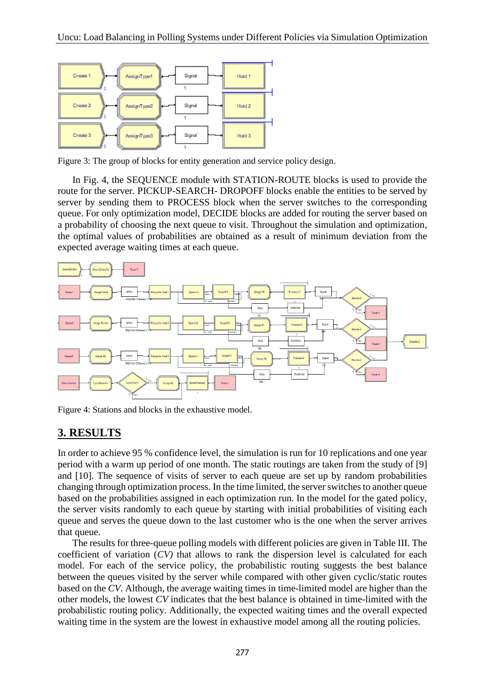

Figure 3: The group of blocks for entity generation and service policy design.

 In Fig. 4, the SEQUENCE module with STATION-ROUTE blocks is used to provide the route for the server*.* PICKUP-SEARCH- DROPOFF blocks enable the entities to be served by server by sending them to PROCESS block when the server switches to the corresponding queue. For only optimization model, DECIDE blocks are added for routing the server based on a probability of choosing the next queue to visit. Throughout the simulation and optimization, the optimal values of probabilities are obtained as a result of minimum deviation from the expected average waiting times at each queue.



Figure 4: Stations and blocks in the exhaustive model.

## **3. RESULTS**

In order to achieve 95 % confidence level, the simulation is run for 10 replications and one year period with a warm up period of one month. The static routings are taken from the study of [9] and [10]. The sequence of visits of server to each queue are set up by random probabilities changing through optimization process. In the time limited, the server switches to another queue based on the probabilities assigned in each optimization run. In the model for the gated policy, the server visits randomly to each queue by starting with initial probabilities of visiting each queue and serves the queue down to the last customer who is the one when the server arrives that queue.

 The results for three-queue polling models with different policies are given in Table III. The coefficient of variation (*CV)* that allows to rank the dispersion level is calculated for each model. For each of the service policy, the probabilistic routing suggests the best balance between the queues visited by the server while compared with other given cyclic/static routes based on the *CV*. Although, the average waiting times in time-limited model are higher than the other models, the lowest *CV* indicates that the best balance is obtained in time-limited with the probabilistic routing policy. Additionally, the expected waiting times and the overall expected waiting time in the system are the lowest in exhaustive model among all the routing policies.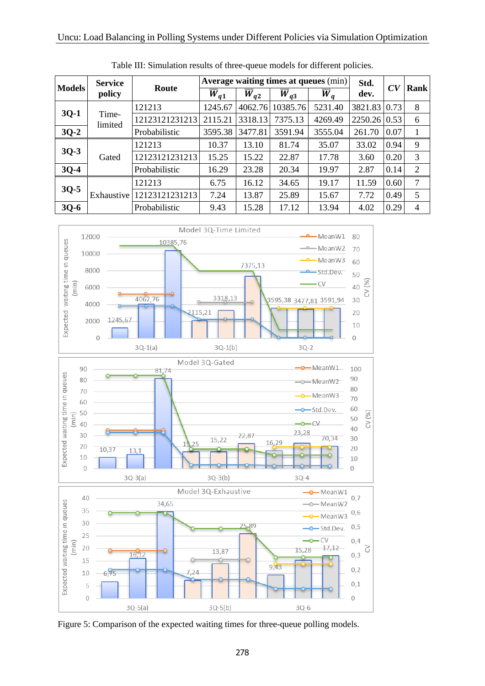| <b>Service</b> |                  |                | <b>Average waiting times at queues (min)</b> |                     |                     |                  | Std.    | CV   |                |
|----------------|------------------|----------------|----------------------------------------------|---------------------|---------------------|------------------|---------|------|----------------|
| <b>Models</b>  | policy           | Route          | $\overline{W}_{q1}$                          | $\overline{W}_{q2}$ | $\overline{W}_{q3}$ | $\overline{W}_a$ | dev.    |      | <b>Rank</b>    |
|                |                  | 121213         | 1245.67                                      | 4062.76             | 10385.76            | 5231.40          | 3821.83 | 0.73 | 8              |
| $3Q-1$         | Time-<br>limited | 12123121231213 | 2115.21                                      | 3318.13             | 7375.13             | 4269.49          | 2250.26 | 0.53 | 6              |
| $3Q-2$         |                  | Probabilistic  | 3595.38                                      | 3477.81             | 3591.94             | 3555.04          | 261.70  | 0.07 | 1              |
|                |                  | 121213         | 10.37                                        | 13.10               | 81.74               | 35.07            | 33.02   | 0.94 | 9              |
| $3Q-3$         | Gated            | 12123121231213 | 15.25                                        | 15.22               | 22.87               | 17.78            | 3.60    | 0.20 | 3              |
| $3Q-4$         |                  | Probabilistic  | 16.29                                        | 23.28               | 20.34               | 19.97            | 2.87    | 0.14 | 2              |
|                |                  | 121213         | 6.75                                         | 16.12               | 34.65               | 19.17            | 11.59   | 0.60 | 7              |
| $3Q-5$         | Exhaustive       | 12123121231213 | 7.24                                         | 13.87               | 25.89               | 15.67            | 7.72    | 0.49 | 5              |
| $3Q-6$         |                  | Probabilistic  | 9.43                                         | 15.28               | 17.12               | 13.94            | 4.02    | 0.29 | $\overline{4}$ |

Table III: Simulation results of three-queue models for different policies.



Figure 5: Comparison of the expected waiting times for three-queue polling models.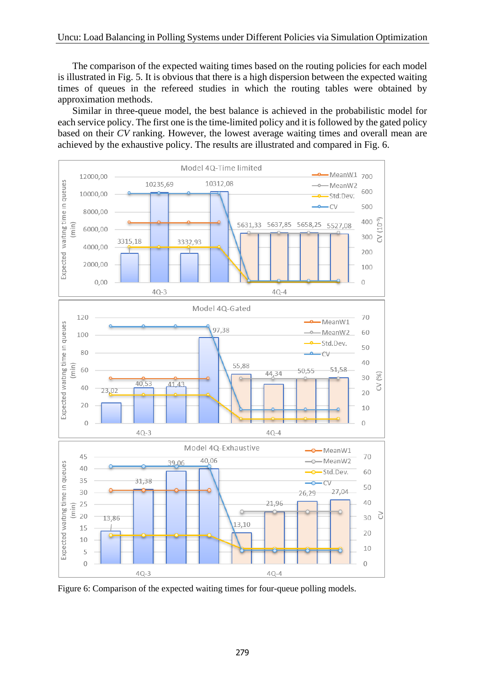The comparison of the expected waiting times based on the routing policies for each model is illustrated in Fig. 5. It is obvious that there is a high dispersion between the expected waiting times of queues in the refereed studies in which the routing tables were obtained by approximation methods.

 Similar in three-queue model, the best balance is achieved in the probabilistic model for each service policy. The first one is the time-limited policy and it is followed by the gated policy based on their *CV* ranking. However, the lowest average waiting times and overall mean are achieved by the exhaustive policy. The results are illustrated and compared in Fig. 6.



Figure 6: Comparison of the expected waiting times for four-queue polling models.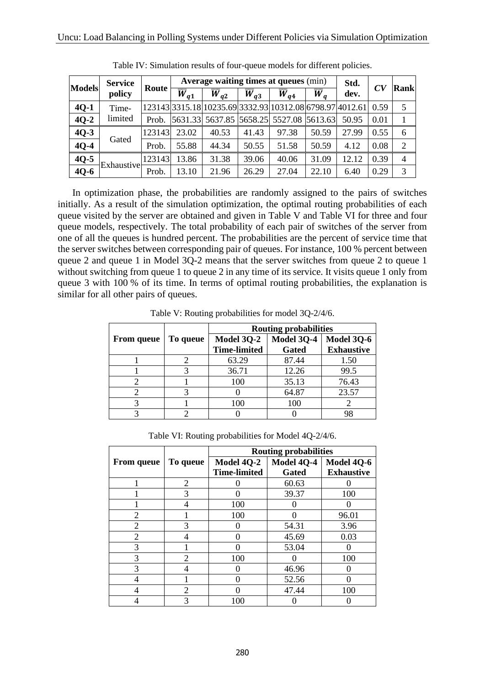| <b>Service</b> |            |        | Average waiting times at queues (min) |                                                          |                     |                     | Std.             |       |       |                |
|----------------|------------|--------|---------------------------------------|----------------------------------------------------------|---------------------|---------------------|------------------|-------|-------|----------------|
| <b>Models</b>  | policy     | Route  | $\overline{W}_{q1}$                   | $\overline{W}_{a2}$                                      | $\overline{W}_{a3}$ | $\overline{W}_{a4}$ | $\overline{W}_a$ | dev.  | $C$ V | Rank           |
| $4Q-1$         | Time-      |        |                                       | 123143 3315.18 10235.69 3332.93 10312.08 6798.97 4012.61 |                     |                     |                  |       | 0.59  | 5              |
| $4Q-2$         | limited    | Prob.  |                                       | 5631.33 5637.85 5658.25 5527.08 5613.63                  |                     |                     |                  | 50.95 | 0.01  |                |
| $4Q-3$         |            | 123143 | 23.02                                 | 40.53                                                    | 41.43               | 97.38               | 50.59            | 27.99 | 0.55  | 6              |
| $4Q-4$         | Gated      | Prob.  | 55.88                                 | 44.34                                                    | 50.55               | 51.58               | 50.59            | 4.12  | 0.08  | 2              |
| $4Q-5$         | Exhaustive | 123143 | 13.86                                 | 31.38                                                    | 39.06               | 40.06               | 31.09            | 12.12 | 0.39  | $\overline{4}$ |
| $4Q-6$         |            | Prob.  | 13.10                                 | 21.96                                                    | 26.29               | 27.04               | 22.10            | 6.40  | 0.29  | 3              |

Table IV: Simulation results of four-queue models for different policies.

 In optimization phase, the probabilities are randomly assigned to the pairs of switches initially. As a result of the simulation optimization, the optimal routing probabilities of each queue visited by the server are obtained and given in Table V and Table VI for three and four queue models, respectively. The total probability of each pair of switches of the server from one of all the queues is hundred percent. The probabilities are the percent of service time that the server switches between corresponding pair of queues. For instance, 100 % percent between queue 2 and queue 1 in Model 3Q-2 means that the server switches from queue 2 to queue 1 without switching from queue 1 to queue 2 in any time of its service. It visits queue 1 only from queue 3 with 100 % of its time. In terms of optimal routing probabilities, the explanation is similar for all other pairs of queues.

Table V: Routing probabilities for model 3Q-2/4/6.

|                   |          | <b>Routing probabilities</b> |                   |                   |  |  |
|-------------------|----------|------------------------------|-------------------|-------------------|--|--|
| <b>From queue</b> | To queue | Model 3Q-2                   | <b>Model 30-4</b> | Model 30-6        |  |  |
|                   |          | <b>Time-limited</b>          | <b>Gated</b>      | <b>Exhaustive</b> |  |  |
|                   |          | 63.29                        | 87.44             | 1.50              |  |  |
|                   |          | 36.71                        | 12.26             | 99.5              |  |  |
|                   |          | 100                          | 35.13             | 76.43             |  |  |
|                   |          |                              | 64.87             | 23.57             |  |  |
|                   |          | 100                          | 100               |                   |  |  |
|                   |          |                              |                   |                   |  |  |

Table VI: Routing probabilities for Model 4Q-2/4/6.

|                   |                | <b>Routing probabilities</b> |              |                   |  |  |  |
|-------------------|----------------|------------------------------|--------------|-------------------|--|--|--|
| <b>From queue</b> | To queue       | Model 4Q-2                   | Model 4Q-4   | Model 4Q-6        |  |  |  |
|                   |                | <b>Time-limited</b>          | <b>Gated</b> | <b>Exhaustive</b> |  |  |  |
|                   | $\overline{2}$ |                              | 60.63        |                   |  |  |  |
|                   | 3              |                              | 39.37        | 100               |  |  |  |
|                   |                | 100                          |              |                   |  |  |  |
| 2                 |                | 100                          |              | 96.01             |  |  |  |
| 2                 | 3              |                              | 54.31        | 3.96              |  |  |  |
| 2                 |                |                              | 45.69        | 0.03              |  |  |  |
| 3                 |                |                              | 53.04        |                   |  |  |  |
| 3                 | $\mathfrak{D}$ | 100                          |              | 100               |  |  |  |
| 3                 |                |                              | 46.96        |                   |  |  |  |
|                   |                |                              | 52.56        |                   |  |  |  |
|                   | $\overline{2}$ |                              | 47.44        | 100               |  |  |  |
|                   | 3              | 100                          |              |                   |  |  |  |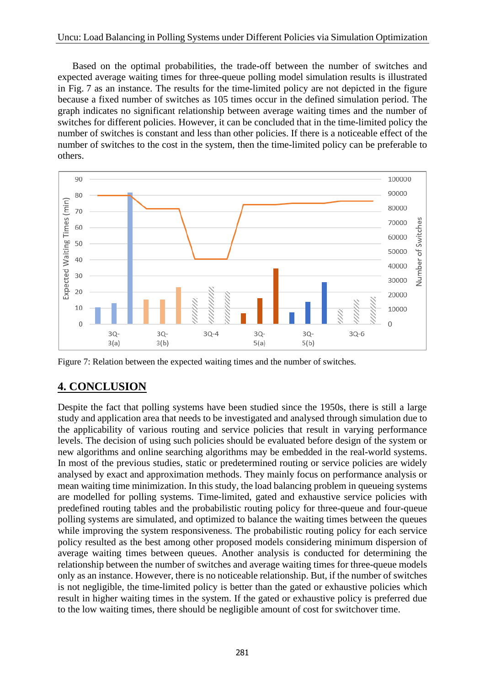Based on the optimal probabilities, the trade-off between the number of switches and expected average waiting times for three-queue polling model simulation results is illustrated in Fig. 7 as an instance. The results for the time-limited policy are not depicted in the figure because a fixed number of switches as 105 times occur in the defined simulation period. The graph indicates no significant relationship between average waiting times and the number of switches for different policies. However, it can be concluded that in the time-limited policy the number of switches is constant and less than other policies. If there is a noticeable effect of the number of switches to the cost in the system, then the time-limited policy can be preferable to others.



Figure 7: Relation between the expected waiting times and the number of switches.

# **4. CONCLUSION**

Despite the fact that polling systems have been studied since the 1950s, there is still a large study and application area that needs to be investigated and analysed through simulation due to the applicability of various routing and service policies that result in varying performance levels. The decision of using such policies should be evaluated before design of the system or new algorithms and online searching algorithms may be embedded in the real-world systems. In most of the previous studies, static or predetermined routing or service policies are widely analysed by exact and approximation methods. They mainly focus on performance analysis or mean waiting time minimization. In this study, the load balancing problem in queueing systems are modelled for polling systems. Time-limited, gated and exhaustive service policies with predefined routing tables and the probabilistic routing policy for three-queue and four-queue polling systems are simulated, and optimized to balance the waiting times between the queues while improving the system responsiveness. The probabilistic routing policy for each service policy resulted as the best among other proposed models considering minimum dispersion of average waiting times between queues. Another analysis is conducted for determining the relationship between the number of switches and average waiting times for three-queue models only as an instance. However, there is no noticeable relationship. But, if the number of switches is not negligible, the time-limited policy is better than the gated or exhaustive policies which result in higher waiting times in the system. If the gated or exhaustive policy is preferred due to the low waiting times, there should be negligible amount of cost for switchover time.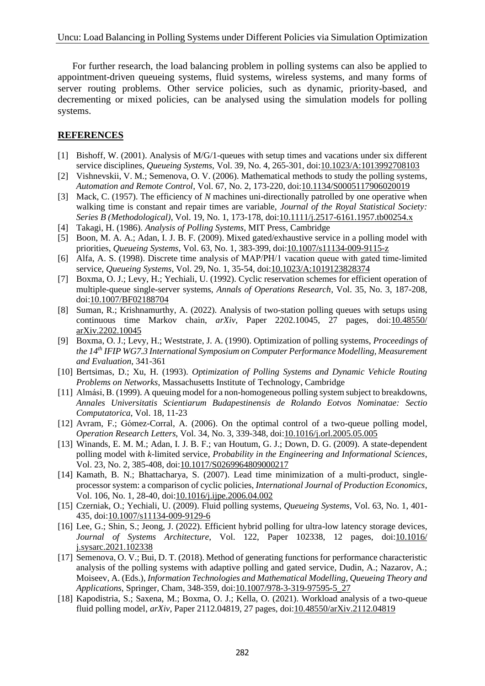For further research, the load balancing problem in polling systems can also be applied to appointment-driven queueing systems, fluid systems, wireless systems, and many forms of server routing problems. Other service policies, such as dynamic, priority-based, and decrementing or mixed policies, can be analysed using the simulation models for polling systems.

#### **REFERENCES**

- [1] Bishoff, W. (2001). Analysis of M/G/1-queues with setup times and vacations under six different service disciplines, *Queueing Systems*, Vol. 39, No. 4, 265-301, doi[:10.1023/A:1013992708103](https://doi.org/10.1023/A:1013992708103)
- [2] Vishnevskii, V. M.; Semenova, O. V. (2006). Mathematical methods to study the polling systems, *Automation and Remote Control*, Vol. 67, No. 2, 173-220, doi[:10.1134/S0005117906020019](https://doi.org/10.1134/S0005117906020019)
- [3] Mack, C. (1957). The efficiency of *N* machines uni-directionally patrolled by one operative when walking time is constant and repair times are variable, *Journal of the Royal Statistical Society: Series B (Methodological)*, Vol. 19, No. 1, 173-178, doi[:10.1111/j.2517-6161.1957.tb00254.x](https://doi.org/10.1111/j.2517-6161.1957.tb00254.x)
- [4] Takagi, H. (1986). *Analysis of Polling Systems*, MIT Press, Cambridge
- [5] Boon, M. A. A.; Adan, I. J. B. F. (2009). Mixed gated/exhaustive service in a polling model with priorities, *Queueing Systems*, Vol. 63, No. 1, 383-399, doi[:10.1007/s11134-009-9115-z](https://doi.org/10.1007/s11134-009-9115-z)
- [6] Alfa, A. S. (1998). Discrete time analysis of MAP/PH/1 vacation queue with gated time‐limited service, *Queueing Systems*, Vol. 29, No. 1, 35-54, doi[:10.1023/A:1019123828374](https://doi.org/10.1023/A:1019123828374)
- [7] Boxma, O. J.; Levy, H.; Yechiali, U. (1992). Cyclic reservation schemes for efficient operation of multiple-queue single-server systems, *Annals of Operations Research*, Vol. 35, No. 3, 187-208, doi[:10.1007/BF02188704](https://doi.org/10.1007/BF02188704)
- [8] Suman, R.; Krishnamurthy, A. (2022). Analysis of two-station polling queues with setups using continuous time Markov chain, *arXiv*, Paper 2202.10045, 27 pages, doi[:10.48550/](https://doi.org/10.48550/arXiv.2202.10045) [arXiv.2202.10045](https://doi.org/10.48550/arXiv.2202.10045)
- [9] Boxma, O. J.; Levy, H.; Weststrate, J. A. (1990). Optimization of polling systems, *Proceedings of the 14th IFIP WG7.3 International Symposium on Computer Performance Modelling, Measurement and Evaluation*, 341-361
- [10] Bertsimas, D.; Xu, H. (1993). *Optimization of Polling Systems and Dynamic Vehicle Routing Problems on Networks*, Massachusetts Institute of Technology, Cambridge
- [11] Almási, B. (1999). A queuing model for a non-homogeneous polling system subject to breakdowns, *Annales Universitatis Scientiarum Budapestinensis de Rolando Eotvos Nominatae: Sectio Computatorica*, Vol. 18, 11-23
- [12] Avram, F.; Gómez-Corral, A. (2006). On the optimal control of a two-queue polling model, *Operation Research Letters*, Vol. 34, No. 3, 339-348, doi[:10.1016/j.orl.2005.05.005](https://doi.org/10.1016/j.orl.2005.05.005)
- [13] Winands, E. M. M.; Adan, I. J. B. F.; van Houtum, G. J.; Down, D. G. (2009). A state-dependent polling model with *k*-limited service, *Probability in the Engineering and Informational Sciences*, Vol. 23, No. 2, 385-408, doi[:10.1017/S0269964809000217](https://doi.org/10.1017/S0269964809000217)
- [14] Kamath, B. N.; Bhattacharya, S. (2007). Lead time minimization of a multi-product, singleprocessor system: a comparison of cyclic policies, *International Journal of Production Economics*, Vol. 106, No. 1, 28-40, doi[:10.1016/j.ijpe.2006.04.002](https://doi.org/10.1016/j.ijpe.2006.04.002)
- [15] Czerniak, O.; Yechiali, U. (2009). Fluid polling systems, *Queueing Systems*, Vol. 63, No. 1, 401- 435, doi[:10.1007/s11134-009-9129-6](https://doi.org/10.1007/s11134-009-9129-6)
- [16] Lee, G.; Shin, S.; Jeong, J. (2022). Efficient hybrid polling for ultra-low latency storage devices, *Journal of Systems Architecture*, Vol. 122, Paper 102338, 12 pages, doi[:10.1016/](https://doi.org/10.1016/j.sysarc.2021.102338) [j.sysarc.2021.102338](https://doi.org/10.1016/j.sysarc.2021.102338)
- [17] Semenova, O. V.; Bui, D. T. (2018). Method of generating functions for performance characteristic analysis of the polling systems with adaptive polling and gated service, Dudin, A.; Nazarov, A.; Moiseev, A. (Eds.), *Information Technologies and Mathematical Modelling, Queueing Theory and Applications*, Springer, Cham, 348-359, doi[:10.1007/978-3-319-97595-5\\_27](https://doi.org/10.1007/978-3-319-97595-5_27)
- [18] Kapodistria, S.; Saxena, M.; Boxma, O. J.; Kella, O. (2021). Workload analysis of a two-queue fluid polling model, *arXiv*, Paper 2112.04819, 27 pages, doi[:10.48550/arXiv.2112.04819](https://doi.org/10.48550/arXiv.2112.04819)